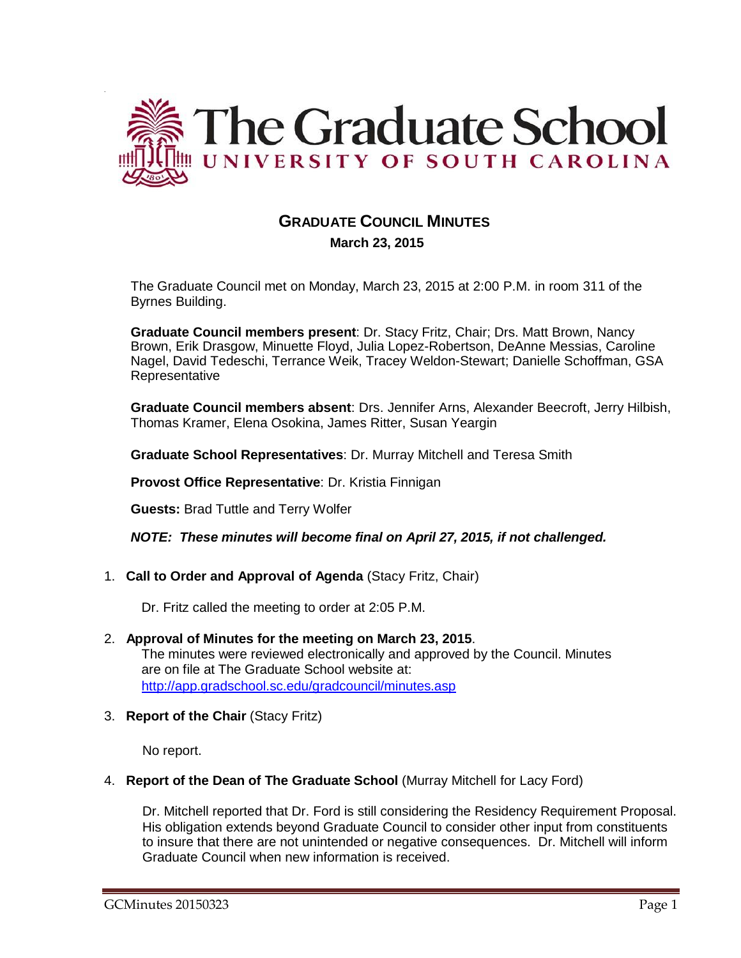

# **GRADUATE COUNCIL MINUTES**

 **March 23, 2015**

The Graduate Council met on Monday, March 23, 2015 at 2:00 P.M. in room 311 of the Byrnes Building.

**Graduate Council members present**: Dr. Stacy Fritz, Chair; Drs. Matt Brown, Nancy Brown, Erik Drasgow, Minuette Floyd, Julia Lopez-Robertson, DeAnne Messias, Caroline Nagel, David Tedeschi, Terrance Weik, Tracey Weldon-Stewart; Danielle Schoffman, GSA Representative

**Graduate Council members absent**: Drs. Jennifer Arns, Alexander Beecroft, Jerry Hilbish, Thomas Kramer, Elena Osokina, James Ritter, Susan Yeargin

**Graduate School Representatives**: Dr. Murray Mitchell and Teresa Smith

**Provost Office Representative**: Dr. Kristia Finnigan

**Guests:** Brad Tuttle and Terry Wolfer

*NOTE: These minutes will become final on April 27, 2015, if not challenged.*

1. **Call to Order and Approval of Agenda** (Stacy Fritz, Chair)

Dr. Fritz called the meeting to order at 2:05 P.M.

- 2. **Approval of Minutes for the meeting on March 23, 2015**. The minutes were reviewed electronically and approved by the Council. Minutes are on file at The Graduate School website at: <http://app.gradschool.sc.edu/gradcouncil/minutes.asp>
- 3. **Report of the Chair** (Stacy Fritz)

No report.

4. **Report of the Dean of The Graduate School** (Murray Mitchell for Lacy Ford)

Dr. Mitchell reported that Dr. Ford is still considering the Residency Requirement Proposal. His obligation extends beyond Graduate Council to consider other input from constituents to insure that there are not unintended or negative consequences. Dr. Mitchell will inform Graduate Council when new information is received.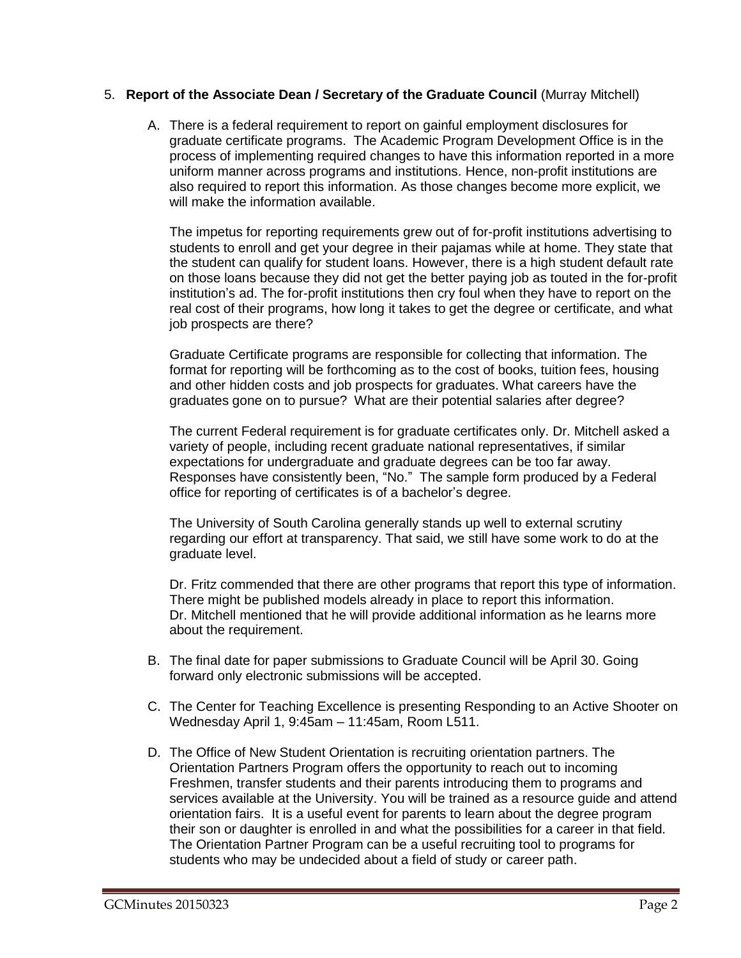## 5. **Report of the Associate Dean / Secretary of the Graduate Council** (Murray Mitchell)

A. There is a federal requirement to report on gainful employment disclosures for graduate certificate programs. The Academic Program Development Office is in the process of implementing required changes to have this information reported in a more uniform manner across programs and institutions. Hence, non-profit institutions are also required to report this information. As those changes become more explicit, we will make the information available.

The impetus for reporting requirements grew out of for-profit institutions advertising to students to enroll and get your degree in their pajamas while at home. They state that the student can qualify for student loans. However, there is a high student default rate on those loans because they did not get the better paying job as touted in the for-profit institution's ad. The for-profit institutions then cry foul when they have to report on the real cost of their programs, how long it takes to get the degree or certificate, and what job prospects are there?

Graduate Certificate programs are responsible for collecting that information. The format for reporting will be forthcoming as to the cost of books, tuition fees, housing and other hidden costs and job prospects for graduates. What careers have the graduates gone on to pursue? What are their potential salaries after degree?

The current Federal requirement is for graduate certificates only. Dr. Mitchell asked a variety of people, including recent graduate national representatives, if similar expectations for undergraduate and graduate degrees can be too far away. Responses have consistently been, "No." The sample form produced by a Federal office for reporting of certificates is of a bachelor's degree.

The University of South Carolina generally stands up well to external scrutiny regarding our effort at transparency. That said, we still have some work to do at the graduate level.

Dr. Fritz commended that there are other programs that report this type of information. There might be published models already in place to report this information. Dr. Mitchell mentioned that he will provide additional information as he learns more about the requirement.

- B. The final date for paper submissions to Graduate Council will be April 30. Going forward only electronic submissions will be accepted.
- C. The Center for Teaching Excellence is presenting Responding to an Active Shooter on Wednesday April 1, 9:45am – 11:45am, Room L511.
- D. The Office of New Student Orientation is recruiting orientation partners. The Orientation Partners Program offers the opportunity to reach out to incoming Freshmen, transfer students and their parents introducing them to programs and services available at the University. You will be trained as a resource guide and attend orientation fairs. It is a useful event for parents to learn about the degree program their son or daughter is enrolled in and what the possibilities for a career in that field. The Orientation Partner Program can be a useful recruiting tool to programs for students who may be undecided about a field of study or career path.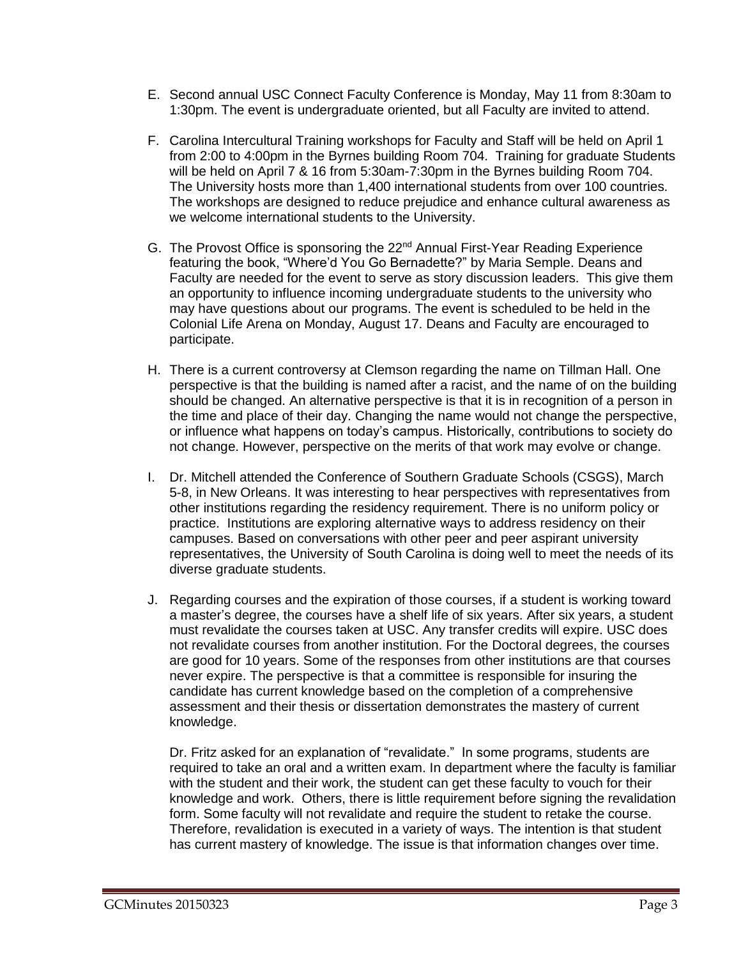- E. Second annual USC Connect Faculty Conference is Monday, May 11 from 8:30am to 1:30pm. The event is undergraduate oriented, but all Faculty are invited to attend.
- F. Carolina Intercultural Training workshops for Faculty and Staff will be held on April 1 from 2:00 to 4:00pm in the Byrnes building Room 704. Training for graduate Students will be held on April 7 & 16 from 5:30am-7:30pm in the Byrnes building Room 704. The University hosts more than 1,400 international students from over 100 countries. The workshops are designed to reduce prejudice and enhance cultural awareness as we welcome international students to the University.
- G. The Provost Office is sponsoring the 22<sup>nd</sup> Annual First-Year Reading Experience featuring the book, "Where'd You Go Bernadette?" by Maria Semple. Deans and Faculty are needed for the event to serve as story discussion leaders. This give them an opportunity to influence incoming undergraduate students to the university who may have questions about our programs. The event is scheduled to be held in the Colonial Life Arena on Monday, August 17. Deans and Faculty are encouraged to participate.
- H. There is a current controversy at Clemson regarding the name on Tillman Hall. One perspective is that the building is named after a racist, and the name of on the building should be changed. An alternative perspective is that it is in recognition of a person in the time and place of their day. Changing the name would not change the perspective, or influence what happens on today's campus. Historically, contributions to society do not change. However, perspective on the merits of that work may evolve or change.
- I. Dr. Mitchell attended the Conference of Southern Graduate Schools (CSGS), March 5-8, in New Orleans. It was interesting to hear perspectives with representatives from other institutions regarding the residency requirement. There is no uniform policy or practice. Institutions are exploring alternative ways to address residency on their campuses. Based on conversations with other peer and peer aspirant university representatives, the University of South Carolina is doing well to meet the needs of its diverse graduate students.
- J. Regarding courses and the expiration of those courses, if a student is working toward a master's degree, the courses have a shelf life of six years. After six years, a student must revalidate the courses taken at USC. Any transfer credits will expire. USC does not revalidate courses from another institution. For the Doctoral degrees, the courses are good for 10 years. Some of the responses from other institutions are that courses never expire. The perspective is that a committee is responsible for insuring the candidate has current knowledge based on the completion of a comprehensive assessment and their thesis or dissertation demonstrates the mastery of current knowledge.

Dr. Fritz asked for an explanation of "revalidate." In some programs, students are required to take an oral and a written exam. In department where the faculty is familiar with the student and their work, the student can get these faculty to vouch for their knowledge and work. Others, there is little requirement before signing the revalidation form. Some faculty will not revalidate and require the student to retake the course. Therefore, revalidation is executed in a variety of ways. The intention is that student has current mastery of knowledge. The issue is that information changes over time.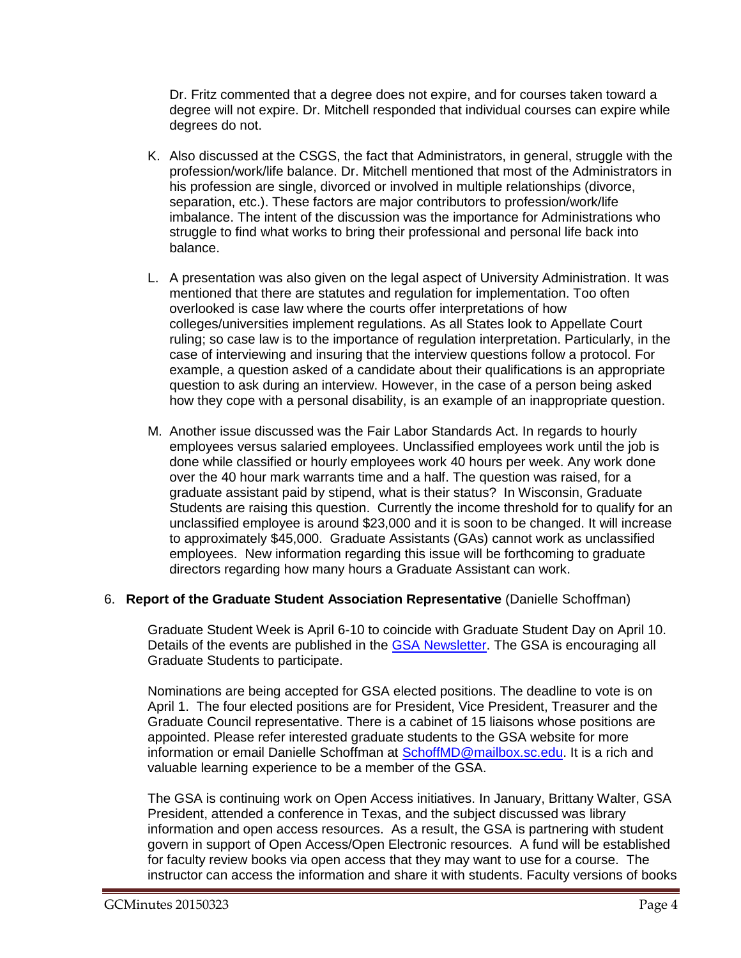Dr. Fritz commented that a degree does not expire, and for courses taken toward a degree will not expire. Dr. Mitchell responded that individual courses can expire while degrees do not.

- K. Also discussed at the CSGS, the fact that Administrators, in general, struggle with the profession/work/life balance. Dr. Mitchell mentioned that most of the Administrators in his profession are single, divorced or involved in multiple relationships (divorce, separation, etc.). These factors are major contributors to profession/work/life imbalance. The intent of the discussion was the importance for Administrations who struggle to find what works to bring their professional and personal life back into balance.
- L. A presentation was also given on the legal aspect of University Administration. It was mentioned that there are statutes and regulation for implementation. Too often overlooked is case law where the courts offer interpretations of how colleges/universities implement regulations. As all States look to Appellate Court ruling; so case law is to the importance of regulation interpretation. Particularly, in the case of interviewing and insuring that the interview questions follow a protocol. For example, a question asked of a candidate about their qualifications is an appropriate question to ask during an interview. However, in the case of a person being asked how they cope with a personal disability, is an example of an inappropriate question.
- M. Another issue discussed was the Fair Labor Standards Act. In regards to hourly employees versus salaried employees. Unclassified employees work until the job is done while classified or hourly employees work 40 hours per week. Any work done over the 40 hour mark warrants time and a half. The question was raised, for a graduate assistant paid by stipend, what is their status? In Wisconsin, Graduate Students are raising this question. Currently the income threshold for to qualify for an unclassified employee is around \$23,000 and it is soon to be changed. It will increase to approximately \$45,000. Graduate Assistants (GAs) cannot work as unclassified employees. New information regarding this issue will be forthcoming to graduate directors regarding how many hours a Graduate Assistant can work.

## 6. **Report of the Graduate Student Association Representative** (Danielle Schoffman)

Graduate Student Week is April 6-10 to coincide with Graduate Student Day on April 10. Details of the events are published in the [GSA Newsletter.](http://gradschool.sc.edu/facstaff/gradcouncil/2014/GSA%20Newsletter%20for%203-23-15.pdf) The GSA is encouraging all Graduate Students to participate.

Nominations are being accepted for GSA elected positions. The deadline to vote is on April 1. The four elected positions are for President, Vice President, Treasurer and the Graduate Council representative. There is a cabinet of 15 liaisons whose positions are appointed. Please refer interested graduate students to the GSA website for more information or email Danielle Schoffman at [SchoffMD@mailbox.sc.edu.](mailto:SchoffMD@mailbox.sc.edu) It is a rich and valuable learning experience to be a member of the GSA.

The GSA is continuing work on Open Access initiatives. In January, Brittany Walter, GSA President, attended a conference in Texas, and the subject discussed was library information and open access resources. As a result, the GSA is partnering with student govern in support of Open Access/Open Electronic resources. A fund will be established for faculty review books via open access that they may want to use for a course. The instructor can access the information and share it with students. Faculty versions of books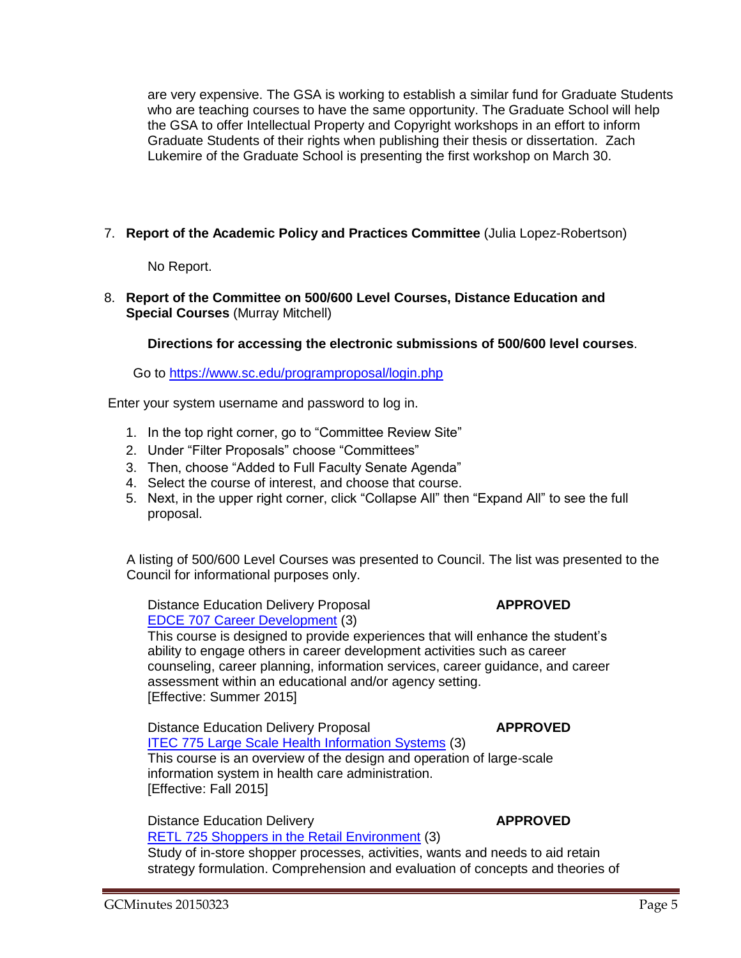are very expensive. The GSA is working to establish a similar fund for Graduate Students who are teaching courses to have the same opportunity. The Graduate School will help the GSA to offer Intellectual Property and Copyright workshops in an effort to inform Graduate Students of their rights when publishing their thesis or dissertation. Zach Lukemire of the Graduate School is presenting the first workshop on March 30.

## 7. **Report of the Academic Policy and Practices Committee** (Julia Lopez-Robertson)

No Report.

8. **Report of the Committee on 500/600 Level Courses, Distance Education and Special Courses** (Murray Mitchell)

**Directions for accessing the electronic submissions of 500/600 level courses**.

Go to<https://www.sc.edu/programproposal/login.php>

Enter your system username and password to log in.

- 1. In the top right corner, go to "Committee Review Site"
- 2. Under "Filter Proposals" choose "Committees"
- 3. Then, choose "Added to Full Faculty Senate Agenda"
- 4. Select the course of interest, and choose that course.
- 5. Next, in the upper right corner, click "Collapse All" then "Expand All" to see the full proposal.

A listing of 500/600 Level Courses was presented to Council. The list was presented to the Council for informational purposes only.

Distance Education Delivery Proposal **APPROVED** [EDCE 707 Career Development](http://gradschool.sc.edu/facstaff/gradcouncil/2014/EDCE%20707%20DED_Redacted.pdf) (3)

## This course is designed to provide experiences that will enhance the student's ability to engage others in career development activities such as career counseling, career planning, information services, career guidance, and career assessment within an educational and/or agency setting. [Effective: Summer 2015]

Distance Education Delivery Proposal **APPROVED** [ITEC 775 Large Scale Health Information Systems](http://gradschool.sc.edu/facstaff/gradcouncil/2014/ITEC%20775%20DED_Redacted.pdf) (3) This course is an overview of the design and operation of large-scale information system in health care administration. [Effective: Fall 2015]

Distance Education Delivery **APPROVED** 

[RETL 725 Shoppers in the Retail Environment](http://gradschool.sc.edu/facstaff/gradcouncil/2014/RETL%20725%20DED_Redacted.pdf) (3) Study of in-store shopper processes, activities, wants and needs to aid retain strategy formulation. Comprehension and evaluation of concepts and theories of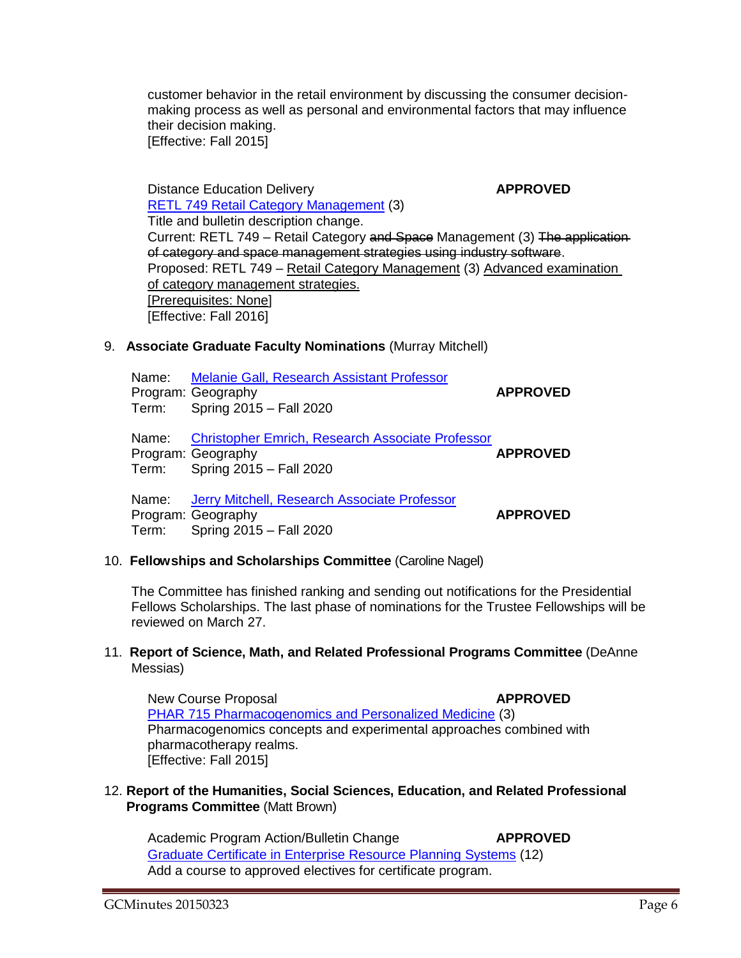customer behavior in the retail environment by discussing the consumer decisionmaking process as well as personal and environmental factors that may influence their decision making. [Effective: Fall 2015]

Distance Education Delivery **APPROVED** [RETL 749 Retail Category Management](http://gradschool.sc.edu/facstaff/gradcouncil/2014/RETL%20749%20DED_Redacted.pdf) (3) Title and bulletin description change. Current: RETL 749 - Retail Category and Space Management (3) The application of category and space management strategies using industry software. Proposed: RETL 749 – Retail Category Management (3) Advanced examination of category management strategies. [Prerequisites: None] [Effective: Fall 2016]

## 9. **Associate Graduate Faculty Nominations** (Murray Mitchell)

|       | Name: Melanie Gall, Research Assistant Professor<br>Program: Geography<br>Term: Spring 2015 - Fall 2020       | <b>APPROVED</b> |
|-------|---------------------------------------------------------------------------------------------------------------|-----------------|
|       | Name: Christopher Emrich, Research Associate Professor<br>Program: Geography<br>Term: Spring 2015 - Fall 2020 | <b>APPROVED</b> |
| Name: | Jerry Mitchell, Research Associate Professor<br>Program: Geography<br>Term: Spring 2015 - Fall 2020           | <b>APPROVED</b> |

## 10. **Fellowships and Scholarships Committee** (Caroline Nagel)

The Committee has finished ranking and sending out notifications for the Presidential Fellows Scholarships. The last phase of nominations for the Trustee Fellowships will be reviewed on March 27.

11. **Report of Science, Math, and Related Professional Programs Committee** (DeAnne Messias)

New Course Proposal **APPROVED** [PHAR 715 Pharmacogenomics and Personalized Medicine](http://gradschool.sc.edu/facstaff/gradcouncil/2014/PHAR%20715%20NCP_Redacted1.pdf) (3) Pharmacogenomics concepts and experimental approaches combined with pharmacotherapy realms. [Effective: Fall 2015]

12. **Report of the Humanities, Social Sciences, Education, and Related Professional Programs Committee** (Matt Brown)

Academic Program Action/Bulletin Change **APPROVED** [Graduate Certificate in Enterprise Resource Planning Systems](http://gradschool.sc.edu/facstaff/gradcouncil/2014/APA%20add%20elective%20Enterprise%20Res%20Planning%20Systems_Redacted3-2-15.pdf) (12) Add a course to approved electives for certificate program.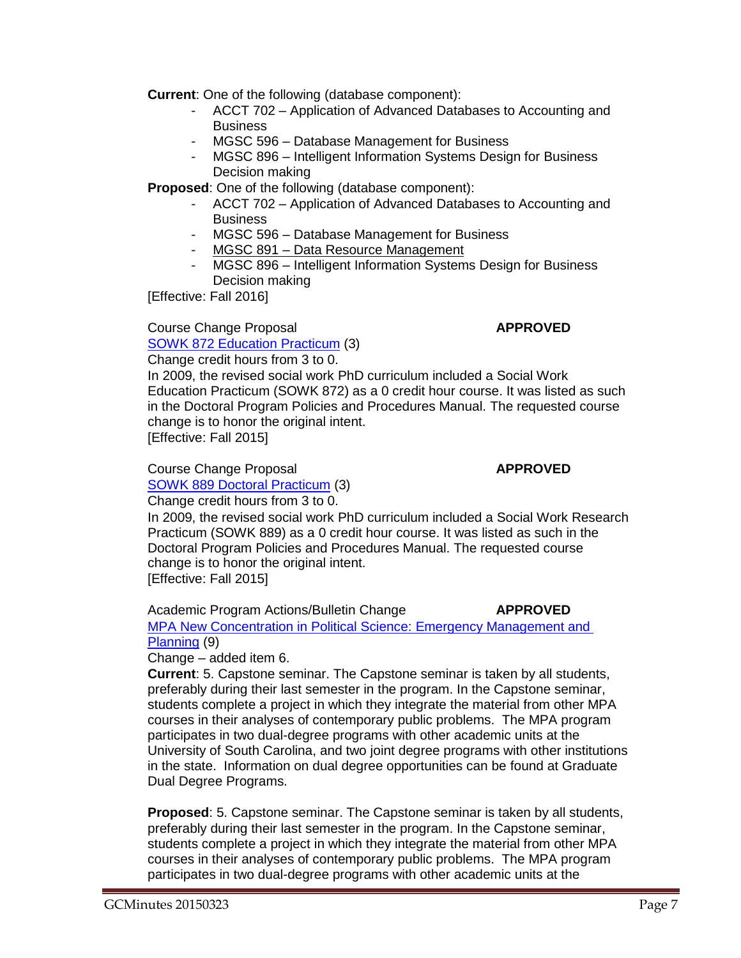**Current**: One of the following (database component):

- ACCT 702 Application of Advanced Databases to Accounting and **Business**
- MGSC 596 Database Management for Business
- MGSC 896 Intelligent Information Systems Design for Business Decision making

**Proposed**: One of the following (database component):

- ACCT 702 Application of Advanced Databases to Accounting and **Business**
- MGSC 596 Database Management for Business
- MGSC 891 Data Resource Management
- MGSC 896 Intelligent Information Systems Design for Business Decision making

[Effective: Fall 2016]

## **Course Change Proposal <b>APPROVED** [SOWK 872 Education](http://gradschool.sc.edu/facstaff/gradcouncil/2014/SOWK%20872%20SOWK%20EDU%20Practicum%20CCP_Redacted.pdf) Practicum (3)

Change credit hours from 3 to 0.

In 2009, the revised social work PhD curriculum included a Social Work Education Practicum (SOWK 872) as a 0 credit hour course. It was listed as such in the Doctoral Program Policies and Procedures Manual. The requested course change is to honor the original intent. [Effective: Fall 2015]

# **Course Change Proposal <b>APPROVED**

[SOWK 889 Doctoral Practicum](http://gradschool.sc.edu/facstaff/gradcouncil/2014/SOWK%20889%20Doctoral%20Practicum%20CCP_Redacted.pdf) (3)

Change credit hours from 3 to 0.

In 2009, the revised social work PhD curriculum included a Social Work Research Practicum (SOWK 889) as a 0 credit hour course. It was listed as such in the Doctoral Program Policies and Procedures Manual. The requested course change is to honor the original intent. [Effective: Fall 2015]

Academic Program Actions/Bulletin Change **APPROVED** [MPA New Concentration in Political Science: Emergency Management and](http://gradschool.sc.edu/facstaff/gradcouncil/2014/MPA%20Concentration%20APA_Redacted1.pdf)  [Planning](http://gradschool.sc.edu/facstaff/gradcouncil/2014/MPA%20Concentration%20APA_Redacted1.pdf) (9)

Change – added item 6.

**Current**: 5. Capstone seminar. The Capstone seminar is taken by all students, preferably during their last semester in the program. In the Capstone seminar, students complete a project in which they integrate the material from other MPA courses in their analyses of contemporary public problems. The MPA program participates in two dual-degree programs with other academic units at the University of South Carolina, and two joint degree programs with other institutions in the state. Information on dual degree opportunities can be found at Graduate Dual Degree Programs.

**Proposed**: 5. Capstone seminar. The Capstone seminar is taken by all students, preferably during their last semester in the program. In the Capstone seminar, students complete a project in which they integrate the material from other MPA courses in their analyses of contemporary public problems. The MPA program participates in two dual-degree programs with other academic units at the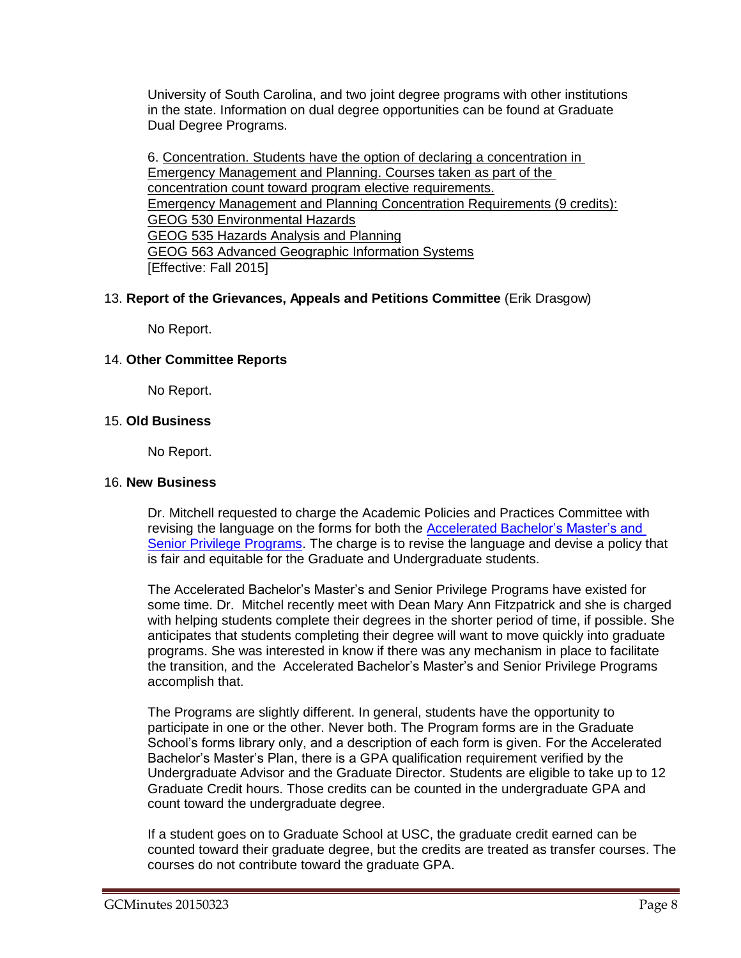University of South Carolina, and two joint degree programs with other institutions in the state. Information on dual degree opportunities can be found at Graduate Dual Degree Programs.

6. Concentration. Students have the option of declaring a concentration in Emergency Management and Planning. Courses taken as part of the concentration count toward program elective requirements. Emergency Management and Planning Concentration Requirements (9 credits): GEOG 530 Environmental Hazards GEOG 535 Hazards Analysis and Planning GEOG 563 Advanced Geographic Information Systems [Effective: Fall 2015]

## 13. **Report of the Grievances, Appeals and Petitions Committee** (Erik Drasgow)

No Report.

## 14. **Other Committee Reports**

No Report.

## 15. **Old Business**

No Report.

### 16. **New Business**

Dr. Mitchell requested to charge the Academic Policies and Practices Committee with revising the language on the forms for both the Accelerated Bachelor's Master's and [Senior Privilege Programs.](http://gradschool.sc.edu/facstaff/gradcouncil/2014/Bachelors-Masters%20Sheet%203-23-15.pdf) The charge is to revise the language and devise a policy that is fair and equitable for the Graduate and Undergraduate students.

The Accelerated Bachelor's Master's and Senior Privilege Programs have existed for some time. Dr. Mitchel recently meet with Dean Mary Ann Fitzpatrick and she is charged with helping students complete their degrees in the shorter period of time, if possible. She anticipates that students completing their degree will want to move quickly into graduate programs. She was interested in know if there was any mechanism in place to facilitate the transition, and the Accelerated Bachelor's Master's and Senior Privilege Programs accomplish that.

The Programs are slightly different. In general, students have the opportunity to participate in one or the other. Never both. The Program forms are in the Graduate School's forms library only, and a description of each form is given. For the Accelerated Bachelor's Master's Plan, there is a GPA qualification requirement verified by the Undergraduate Advisor and the Graduate Director. Students are eligible to take up to 12 Graduate Credit hours. Those credits can be counted in the undergraduate GPA and count toward the undergraduate degree.

If a student goes on to Graduate School at USC, the graduate credit earned can be counted toward their graduate degree, but the credits are treated as transfer courses. The courses do not contribute toward the graduate GPA.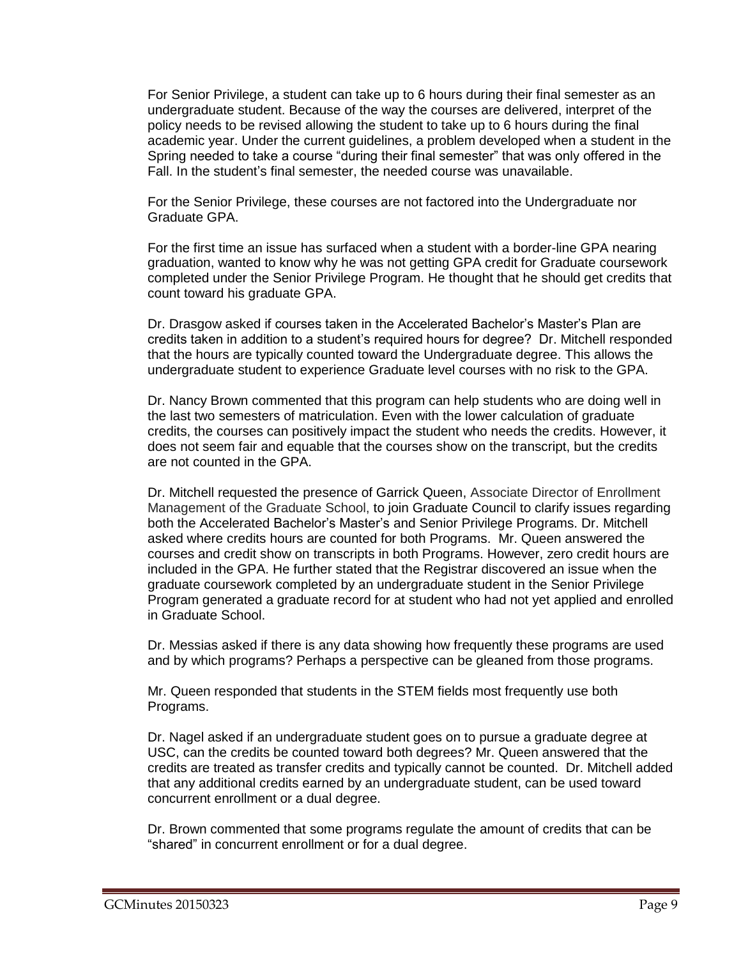For Senior Privilege, a student can take up to 6 hours during their final semester as an undergraduate student. Because of the way the courses are delivered, interpret of the policy needs to be revised allowing the student to take up to 6 hours during the final academic year. Under the current guidelines, a problem developed when a student in the Spring needed to take a course "during their final semester" that was only offered in the Fall. In the student's final semester, the needed course was unavailable.

For the Senior Privilege, these courses are not factored into the Undergraduate nor Graduate GPA.

For the first time an issue has surfaced when a student with a border-line GPA nearing graduation, wanted to know why he was not getting GPA credit for Graduate coursework completed under the Senior Privilege Program. He thought that he should get credits that count toward his graduate GPA.

Dr. Drasgow asked if courses taken in the Accelerated Bachelor's Master's Plan are credits taken in addition to a student's required hours for degree? Dr. Mitchell responded that the hours are typically counted toward the Undergraduate degree. This allows the undergraduate student to experience Graduate level courses with no risk to the GPA.

Dr. Nancy Brown commented that this program can help students who are doing well in the last two semesters of matriculation. Even with the lower calculation of graduate credits, the courses can positively impact the student who needs the credits. However, it does not seem fair and equable that the courses show on the transcript, but the credits are not counted in the GPA.

Dr. Mitchell requested the presence of Garrick Queen, Associate Director of Enrollment Management of the Graduate School, to join Graduate Council to clarify issues regarding both the Accelerated Bachelor's Master's and Senior Privilege Programs. Dr. Mitchell asked where credits hours are counted for both Programs. Mr. Queen answered the courses and credit show on transcripts in both Programs. However, zero credit hours are included in the GPA. He further stated that the Registrar discovered an issue when the graduate coursework completed by an undergraduate student in the Senior Privilege Program generated a graduate record for at student who had not yet applied and enrolled in Graduate School.

Dr. Messias asked if there is any data showing how frequently these programs are used and by which programs? Perhaps a perspective can be gleaned from those programs.

Mr. Queen responded that students in the STEM fields most frequently use both Programs.

Dr. Nagel asked if an undergraduate student goes on to pursue a graduate degree at USC, can the credits be counted toward both degrees? Mr. Queen answered that the credits are treated as transfer credits and typically cannot be counted. Dr. Mitchell added that any additional credits earned by an undergraduate student, can be used toward concurrent enrollment or a dual degree.

Dr. Brown commented that some programs regulate the amount of credits that can be "shared" in concurrent enrollment or for a dual degree.